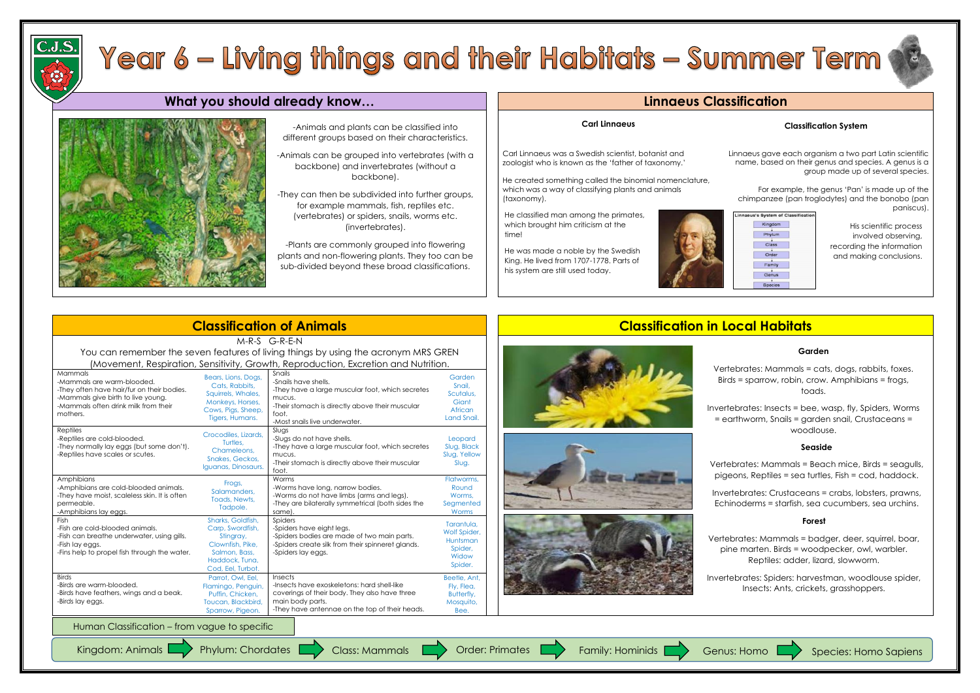# Year 6 – Living things and their Habitats – Summer Term

## **What you should already know… Linnaeus Classification**



### **Carl Linnaeus**

Carl Linnaeus was a Swedish scientist, botanist and zoologist who is known as the 'father of taxonomy.'

He created something called the binomial nomenclature, which was a way of classifying plants and animals

(taxonomy).

## **Classification System**

Linnaeus gave each organism a two part Latin scientific name, based on their genus and species. A genus is a group made up of several species.

For example, the genus 'Pan' is made up of the chimpanzee (pan troglodytes) and the bonobo (pan paniscus).

| Kingdom        |  |
|----------------|--|
|                |  |
| Phylum         |  |
|                |  |
| Class          |  |
|                |  |
| Order          |  |
|                |  |
| Family         |  |
|                |  |
| Genus          |  |
|                |  |
| <b>Species</b> |  |

# **Classification of Animals Classification in Local Habitats**





M-R-S G-R-E-N You can remember the seven features of living things by using the acronym MRS GREN (Movement, Respiration, Sensitivity, Growth, Reproduction, Excretion and Nutrition. Mammals -Mammals are warm-blooded. -They often have hair/fur on their bodies. -Mammals give birth to live young. -Mammals often drink milk from their mothers. Bears, Lions, Dogs, Cats, Rabbits, Squirrels, Whales, Monkeys, Horses, Cows, Pigs, Sheep, Tigers, Humans. Snails -Snails have shells. -They have a large muscular foot, which secretes mucus. -Their stomach is directly above their muscular foot. -Most snails live underwater. Garden Snail, Scutalus, **Giant** African Land Snail. Reptiles -Reptiles are cold-blooded. -They normally lay eggs (but some don't). -Reptiles have scales or scutes. Crocodiles, Lizards, Turtles, Chameleons, Snakes, Geckos, Iguanas, Dinosaurs. Slugs -Slugs do not have shells. -They have a large muscular foot, which secretes mucus. -Their stomach is directly above their muscular foot. Leopard Slug, Black Slug, Yellow Slug. Amphibians -Amphibians are cold-blooded animals. -They have moist, scaleless skin. It is often permeable. -Amphibians lay eggs. Frogs, Salamanders, Toads, Newts, Tadpole. Worms -Worms have long, narrow bodies. -Worms do not have limbs (arms and legs). -They are bilaterally symmetrical (both sides the same). Flatworms, Round Worms, **Segmented** Worms Fish -Fish are cold-blooded animals. -Fish can breathe underwater, using gills. -Fish lay eggs. -Fins help to propel fish through the water. Sharks, Goldfish, Carp, Swordfish, Stingray, Clownfish, Pike, Salmon, Bass, Haddock, Tuna, Cod, Eel, Turbot. **Spiders** -Spiders have eight legs. -Spiders bodies are made of two main parts. -Spiders create silk from their spinneret glands. -Spiders lay eggs. Tarantula, Wolf Spider, Huntsman Spider, **Widow** Spider. **Birds** -Birds are warm-blooded. -Birds have feathers, wings and a beak. -Birds lay eggs. Parrot, Owl, Eel, Flamingo, Penguin, Puffin, Chicken, Toucan, Blackbird, Sparrow, Pigeon. Insects -Insects have exoskeletons: hard shell-like coverings of their body. They also have three main body parts. -They have antennae on the top of their heads. Beetle, Ant, Fly, Flea, Butterfly, Mosquito, Bee.

Human Classification – from vague to specific









## **Garden**

Vertebrates: Mammals = cats, dogs, rabbits, foxes. Birds = sparrow, robin, crow. Amphibians = frogs, toads.

Invertebrates: Insects = bee, wasp, fly, Spiders, Worms = earthworm, Snails = garden snail, Crustaceans = woodlouse.

-Animals and plants can be classified into different groups based on their characteristics.

-Animals can be grouped into vertebrates (with a backbone) and invertebrates (without a backbone).

-They can then be subdivided into further groups, for example mammals, fish, reptiles etc. (vertebrates) or spiders, snails, worms etc. (invertebrates).

-Plants are commonly grouped into flowering plants and non-flowering plants. They too can be sub-divided beyond these broad classifications.

He classified man among the primates, which brought him criticism at the time!

He was made a noble by the Swedish King. He lived from 1707-1778. Parts of his system are still used today.



His scientific process involved observing, recording the information and making conclusions.

## **Seaside**

Vertebrates: Mammals = Beach mice, Birds = seagulls, pigeons, Reptiles = sea turtles, Fish = cod, haddock.

Invertebrates: Crustaceans = crabs, lobsters, prawns, Echinoderms = starfish, sea cucumbers, sea urchins.

## **Forest**



Vertebrates: Mammals = badger, deer, squirrel, boar, pine marten. Birds = woodpecker, owl, warbler. Reptiles: adder, lizard, slowworm.

Invertebrates: Spiders: harvestman, woodlouse spider, Insects: Ants, crickets, grasshoppers.